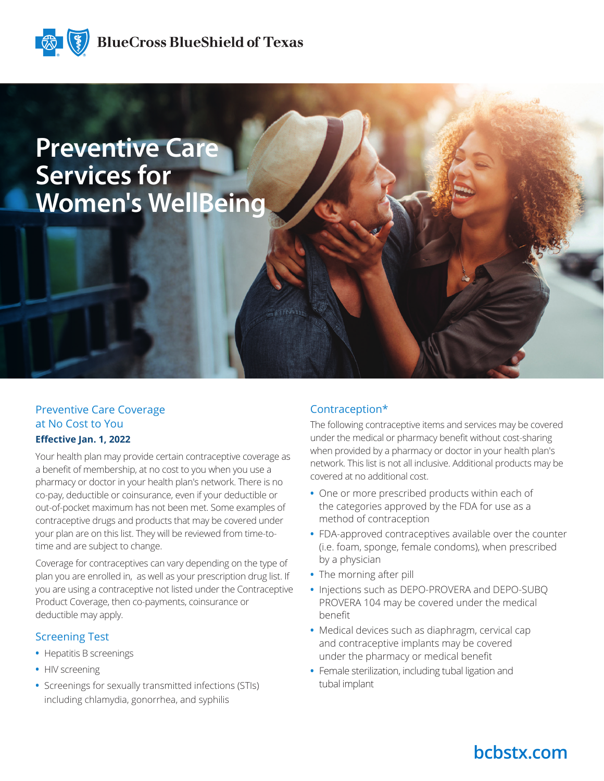

# **Preventive Care Services for Women's WellBeing**

### Preventive Care Coverage at No Cost to You

#### **Effective Jan. 1, 2022**

Your health plan may provide certain contraceptive coverage as a benefit of membership, at no cost to you when you use a pharmacy or doctor in your health plan's network. There is no co-pay, deductible or coinsurance, even if your deductible or out-of-pocket maximum has not been met. Some examples of contraceptive drugs and products that may be covered under your plan are on this list. They will be reviewed from time-totime and are subject to change.

Coverage for contraceptives can vary depending on the type of plan you are enrolled in, as well as your prescription drug list. If you are using a contraceptive not listed under the Contraceptive Product Coverage, then co-payments, coinsurance or deductible may apply.

#### Screening Test

- **•** Hepatitis B screenings
- **•** HIV screening
- **•** Screenings for sexually transmitted infections (STIs) including chlamydia, gonorrhea, and syphilis

#### Contraception\*

The following contraceptive items and services may be covered under the medical or pharmacy benefit without cost-sharing when provided by a pharmacy or doctor in your health plan's network. This list is not all inclusive. Additional products may be covered at no additional cost.

- **•** One or more prescribed products within each of the categories approved by the FDA for use as a method of contraception
- **•** FDA-approved contraceptives available over the counter (i.e. foam, sponge, female condoms), when prescribed by a physician
- **•** The morning after pill
- **•** Injections such as DEPO-PROVERA and DEPO-SUBQ PROVERA 104 may be covered under the medical benefit
- **•** Medical devices such as diaphragm, cervical cap and contraceptive implants may be covered under the pharmacy or medical benefit
- **•** Female sterilization, including tubal ligation and tubal implant

## **bcbstx.com**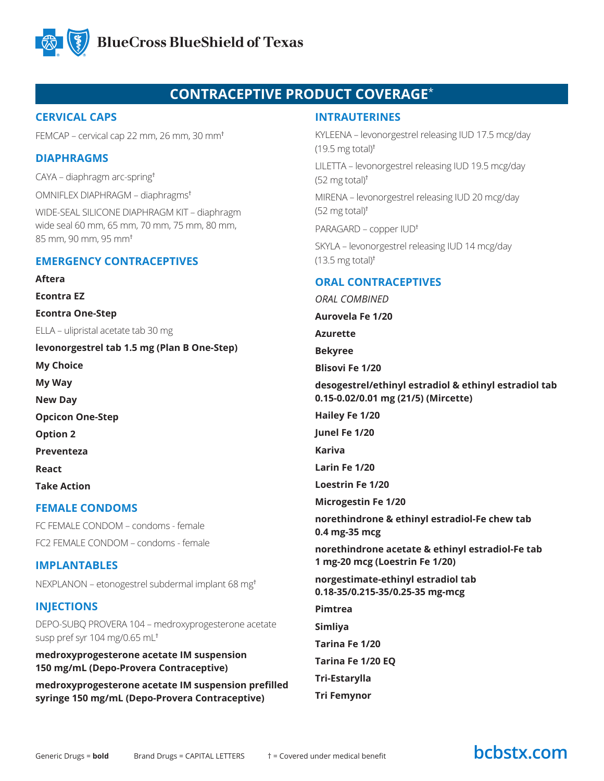

### **CONTRACEPTIVE PRODUCT COVERAGE**\*

#### **CERVICAL CAPS**

FEMCAP – cervical cap 22 mm, 26 mm, 30 mm†

#### **DIAPHRAGMS**

CAYA – diaphragm arc-spring†

OMNIFLEX DIAPHRAGM – diaphragms†

WIDE-SEAL SILICONE DIAPHRAGM KIT – diaphragm wide seal 60 mm, 65 mm, 70 mm, 75 mm, 80 mm, 85 mm, 90 mm, 95 mm†

#### **EMERGENCY CONTRACEPTIVES**

**Aftera**

**Econtra EZ**

**Econtra One-Step**

ELLA – ulipristal acetate tab 30 mg

**levonorgestrel tab 1.5 mg (Plan B One-Step) My Choice My Way New Day Opcicon One-Step Option 2 Preventeza React Take Action**

#### **FEMALE CONDOMS**

FC FEMALE CONDOM – condoms - female FC2 FEMALE CONDOM – condoms - female

#### **IMPLANTABLES**

NEXPLANON – etonogestrel subdermal implant 68 mg†

#### **INJECTIONS**

DEPO-SUBQ PROVERA 104 – medroxyprogesterone acetate susp pref syr 104 mg/0.65 mL†

**medroxyprogesterone acetate IM suspension 150 mg/mL (Depo-Provera Contraceptive)**

**medroxyprogesterone acetate IM suspension prefilled syringe 150 mg/mL (Depo-Provera Contraceptive)**

#### **INTRAUTERINES**

KYLEENA – levonorgestrel releasing IUD 17.5 mcg/day  $(19.5 \text{ mg total})^{\dagger}$ LILETTA – levonorgestrel releasing IUD 19.5 mcg/day  $(52 \text{ mg total})^{\dagger}$ MIRENA – levonorgestrel releasing IUD 20 mcg/day (52 mg total)† PARAGARD – copper IUD† SKYLA – levonorgestrel releasing IUD 14 mcg/day  $(13.5 \text{ mg total})^{\dagger}$ **ORAL CONTRACEPTIVES** *ORAL COMBINED* **Aurovela Fe 1/20 Azurette Bekyree Blisovi Fe 1/20 desogestrel/ethinyl estradiol & ethinyl estradiol tab 0.15-0.02/0.01 mg (21/5) (Mircette) Hailey Fe 1/20 Junel Fe 1/20 Kariva Larin Fe 1/20 Loestrin Fe 1/20**

**Microgestin Fe 1/20**

**norethindrone & ethinyl estradiol-Fe chew tab 0.4 mg-35 mcg**

**norethindrone acetate & ethinyl estradiol-Fe tab 1 mg-20 mcg (Loestrin Fe 1/20)**

**norgestimate-ethinyl estradiol tab 0.18-35/0.215-35/0.25-35 mg-mcg**

**Pimtrea**

**Simliya**

**Tarina Fe 1/20**

**Tarina Fe 1/20 EQ**

**Tri-Estarylla**

**Tri Femynor**